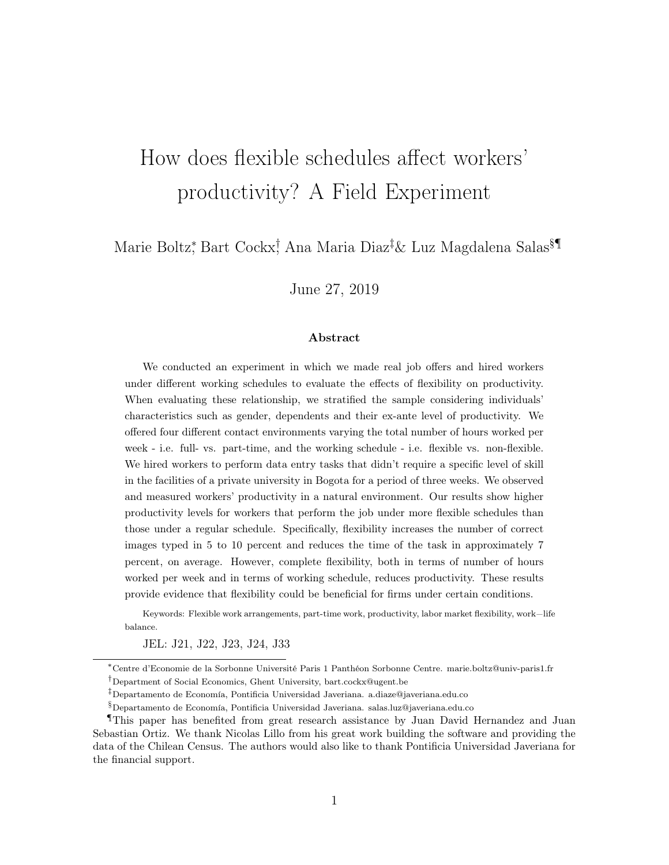# How does flexible schedules affect workers' productivity? A Field Experiment

Marie Boltz\*, Bart Cockx† Ana Maria Diaz<sup>‡</sup>& Luz Magdalena Salas<sup>§¶</sup>

June 27, 2019

#### Abstract

We conducted an experiment in which we made real job offers and hired workers under different working schedules to evaluate the effects of flexibility on productivity. When evaluating these relationship, we stratified the sample considering individuals' characteristics such as gender, dependents and their ex-ante level of productivity. We offered four different contact environments varying the total number of hours worked per week - i.e. full- vs. part-time, and the working schedule - i.e. flexible vs. non-flexible. We hired workers to perform data entry tasks that didn't require a specific level of skill in the facilities of a private university in Bogota for a period of three weeks. We observed and measured workers' productivity in a natural environment. Our results show higher productivity levels for workers that perform the job under more flexible schedules than those under a regular schedule. Specifically, flexibility increases the number of correct images typed in 5 to 10 percent and reduces the time of the task in approximately 7 percent, on average. However, complete flexibility, both in terms of number of hours worked per week and in terms of working schedule, reduces productivity. These results provide evidence that flexibility could be beneficial for firms under certain conditions.

Keywords: Flexible work arrangements, part-time work, productivity, labor market flexibility, work−life balance.

JEL: J21, J22, J23, J24, J33

<sup>∗</sup>Centre d'Economie de la Sorbonne Université Paris 1 Panthéon Sorbonne Centre. marie.boltz@univ-paris1.fr †Department of Social Economics, Ghent University, bart.cockx@ugent.be

<sup>‡</sup>Departamento de Economía, Pontificia Universidad Javeriana. a.diaze@javeriana.edu.co

 $\S$ Departamento de Economía, Pontificia Universidad Javeriana. salas.luz@javeriana.edu.co

<sup>¶</sup>This paper has benefited from great research assistance by Juan David Hernandez and Juan Sebastian Ortiz. We thank Nicolas Lillo from his great work building the software and providing the data of the Chilean Census. The authors would also like to thank Pontificia Universidad Javeriana for the financial support.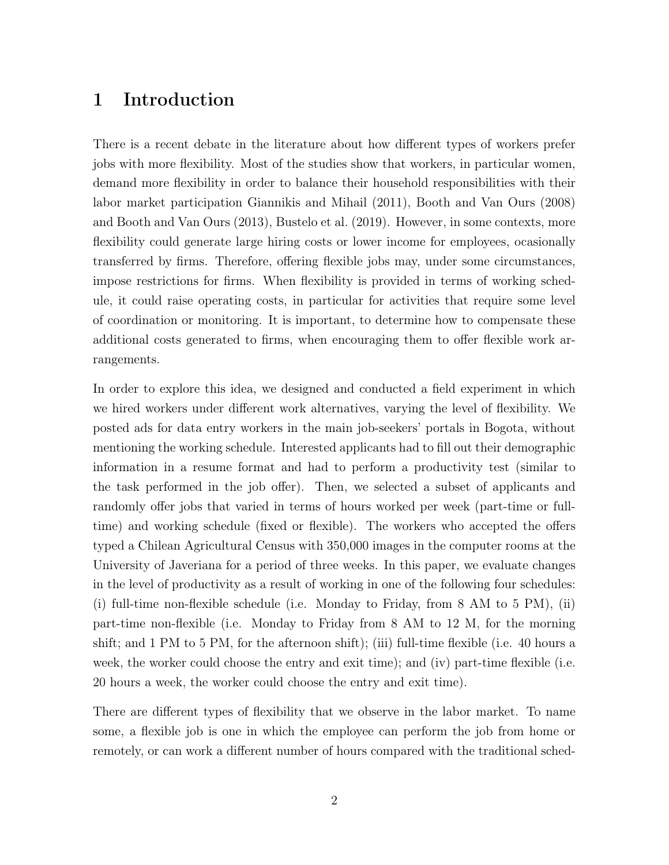### 1 Introduction

There is a recent debate in the literature about how different types of workers prefer jobs with more flexibility. Most of the studies show that workers, in particular women, demand more flexibility in order to balance their household responsibilities with their labor market participation Giannikis and Mihail (2011), Booth and Van Ours (2008) and Booth and Van Ours (2013), Bustelo et al. (2019). However, in some contexts, more flexibility could generate large hiring costs or lower income for employees, ocasionally transferred by firms. Therefore, offering flexible jobs may, under some circumstances, impose restrictions for firms. When flexibility is provided in terms of working schedule, it could raise operating costs, in particular for activities that require some level of coordination or monitoring. It is important, to determine how to compensate these additional costs generated to firms, when encouraging them to offer flexible work arrangements.

In order to explore this idea, we designed and conducted a field experiment in which we hired workers under different work alternatives, varying the level of flexibility. We posted ads for data entry workers in the main job-seekers' portals in Bogota, without mentioning the working schedule. Interested applicants had to fill out their demographic information in a resume format and had to perform a productivity test (similar to the task performed in the job offer). Then, we selected a subset of applicants and randomly offer jobs that varied in terms of hours worked per week (part-time or fulltime) and working schedule (fixed or flexible). The workers who accepted the offers typed a Chilean Agricultural Census with 350,000 images in the computer rooms at the University of Javeriana for a period of three weeks. In this paper, we evaluate changes in the level of productivity as a result of working in one of the following four schedules: (i) full-time non-flexible schedule (i.e. Monday to Friday, from 8 AM to 5 PM), (ii) part-time non-flexible (i.e. Monday to Friday from 8 AM to 12 M, for the morning shift; and 1 PM to 5 PM, for the afternoon shift); (iii) full-time flexible (i.e. 40 hours a week, the worker could choose the entry and exit time); and (iv) part-time flexible (i.e. 20 hours a week, the worker could choose the entry and exit time).

There are different types of flexibility that we observe in the labor market. To name some, a flexible job is one in which the employee can perform the job from home or remotely, or can work a different number of hours compared with the traditional sched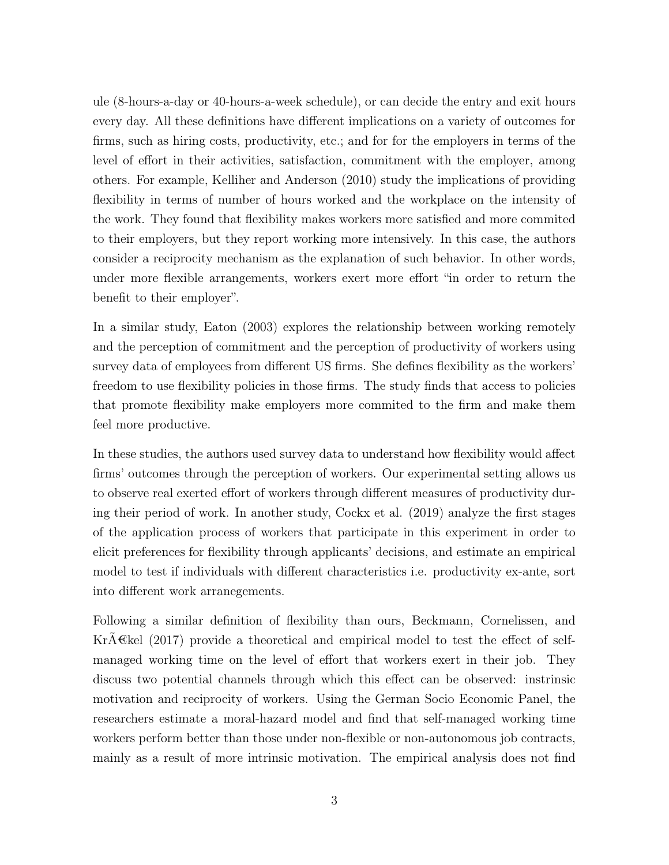ule (8-hours-a-day or 40-hours-a-week schedule), or can decide the entry and exit hours every day. All these definitions have different implications on a variety of outcomes for firms, such as hiring costs, productivity, etc.; and for for the employers in terms of the level of effort in their activities, satisfaction, commitment with the employer, among others. For example, Kelliher and Anderson (2010) study the implications of providing flexibility in terms of number of hours worked and the workplace on the intensity of the work. They found that flexibility makes workers more satisfied and more commited to their employers, but they report working more intensively. In this case, the authors consider a reciprocity mechanism as the explanation of such behavior. In other words, under more flexible arrangements, workers exert more effort "in order to return the benefit to their employer".

In a similar study, Eaton (2003) explores the relationship between working remotely and the perception of commitment and the perception of productivity of workers using survey data of employees from different US firms. She defines flexibility as the workers' freedom to use flexibility policies in those firms. The study finds that access to policies that promote flexibility make employers more commited to the firm and make them feel more productive.

In these studies, the authors used survey data to understand how flexibility would affect firms' outcomes through the perception of workers. Our experimental setting allows us to observe real exerted effort of workers through different measures of productivity during their period of work. In another study, Cockx et al. (2019) analyze the first stages of the application process of workers that participate in this experiment in order to elicit preferences for flexibility through applicants' decisions, and estimate an empirical model to test if individuals with different characteristics i.e. productivity ex-ante, sort into different work arranegements.

Following a similar definition of flexibility than ours, Beckmann, Cornelissen, and Kr $A \in \mathbb{R}$ el (2017) provide a theoretical and empirical model to test the effect of selfmanaged working time on the level of effort that workers exert in their job. They discuss two potential channels through which this effect can be observed: instrinsic motivation and reciprocity of workers. Using the German Socio Economic Panel, the researchers estimate a moral-hazard model and find that self-managed working time workers perform better than those under non-flexible or non-autonomous job contracts, mainly as a result of more intrinsic motivation. The empirical analysis does not find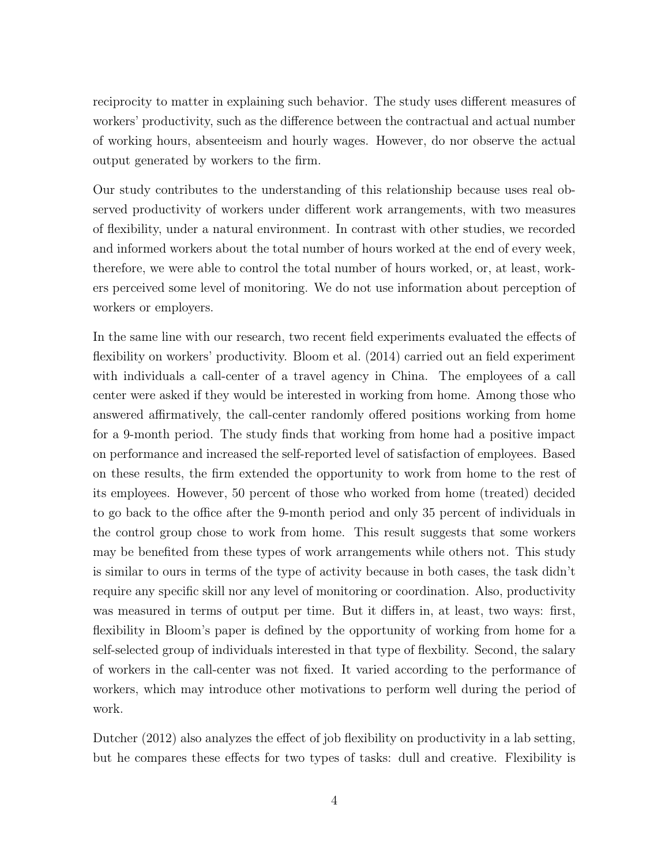reciprocity to matter in explaining such behavior. The study uses different measures of workers' productivity, such as the difference between the contractual and actual number of working hours, absenteeism and hourly wages. However, do nor observe the actual output generated by workers to the firm.

Our study contributes to the understanding of this relationship because uses real observed productivity of workers under different work arrangements, with two measures of flexibility, under a natural environment. In contrast with other studies, we recorded and informed workers about the total number of hours worked at the end of every week, therefore, we were able to control the total number of hours worked, or, at least, workers perceived some level of monitoring. We do not use information about perception of workers or employers.

In the same line with our research, two recent field experiments evaluated the effects of flexibility on workers' productivity. Bloom et al. (2014) carried out an field experiment with individuals a call-center of a travel agency in China. The employees of a call center were asked if they would be interested in working from home. Among those who answered affirmatively, the call-center randomly offered positions working from home for a 9-month period. The study finds that working from home had a positive impact on performance and increased the self-reported level of satisfaction of employees. Based on these results, the firm extended the opportunity to work from home to the rest of its employees. However, 50 percent of those who worked from home (treated) decided to go back to the office after the 9-month period and only 35 percent of individuals in the control group chose to work from home. This result suggests that some workers may be benefited from these types of work arrangements while others not. This study is similar to ours in terms of the type of activity because in both cases, the task didn't require any specific skill nor any level of monitoring or coordination. Also, productivity was measured in terms of output per time. But it differs in, at least, two ways: first, flexibility in Bloom's paper is defined by the opportunity of working from home for a self-selected group of individuals interested in that type of flexbility. Second, the salary of workers in the call-center was not fixed. It varied according to the performance of workers, which may introduce other motivations to perform well during the period of work.

Dutcher (2012) also analyzes the effect of job flexibility on productivity in a lab setting, but he compares these effects for two types of tasks: dull and creative. Flexibility is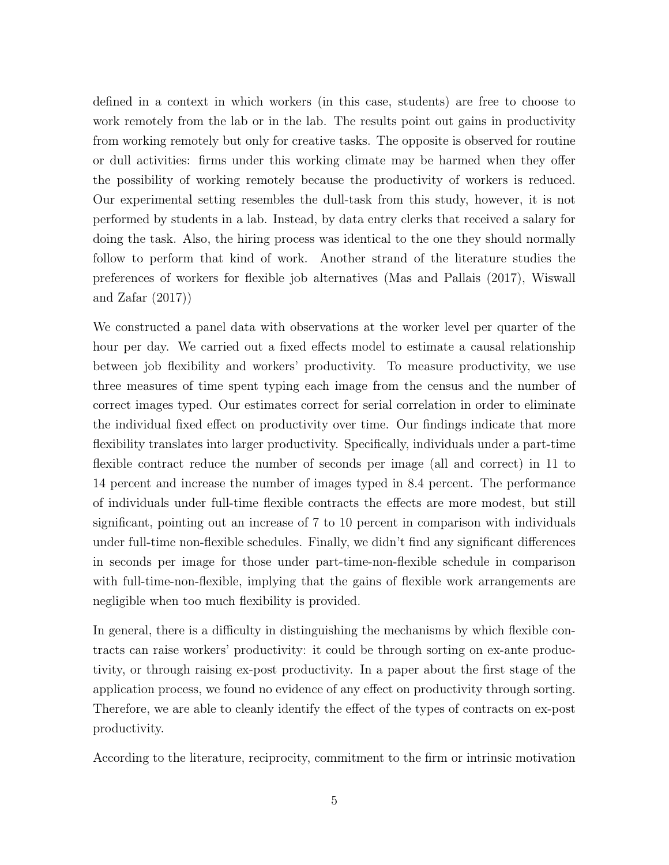defined in a context in which workers (in this case, students) are free to choose to work remotely from the lab or in the lab. The results point out gains in productivity from working remotely but only for creative tasks. The opposite is observed for routine or dull activities: firms under this working climate may be harmed when they offer the possibility of working remotely because the productivity of workers is reduced. Our experimental setting resembles the dull-task from this study, however, it is not performed by students in a lab. Instead, by data entry clerks that received a salary for doing the task. Also, the hiring process was identical to the one they should normally follow to perform that kind of work. Another strand of the literature studies the preferences of workers for flexible job alternatives (Mas and Pallais (2017), Wiswall and Zafar (2017))

We constructed a panel data with observations at the worker level per quarter of the hour per day. We carried out a fixed effects model to estimate a causal relationship between job flexibility and workers' productivity. To measure productivity, we use three measures of time spent typing each image from the census and the number of correct images typed. Our estimates correct for serial correlation in order to eliminate the individual fixed effect on productivity over time. Our findings indicate that more flexibility translates into larger productivity. Specifically, individuals under a part-time flexible contract reduce the number of seconds per image (all and correct) in 11 to 14 percent and increase the number of images typed in 8.4 percent. The performance of individuals under full-time flexible contracts the effects are more modest, but still significant, pointing out an increase of 7 to 10 percent in comparison with individuals under full-time non-flexible schedules. Finally, we didn't find any significant differences in seconds per image for those under part-time-non-flexible schedule in comparison with full-time-non-flexible, implying that the gains of flexible work arrangements are negligible when too much flexibility is provided.

In general, there is a difficulty in distinguishing the mechanisms by which flexible contracts can raise workers' productivity: it could be through sorting on ex-ante productivity, or through raising ex-post productivity. In a paper about the first stage of the application process, we found no evidence of any effect on productivity through sorting. Therefore, we are able to cleanly identify the effect of the types of contracts on ex-post productivity.

According to the literature, reciprocity, commitment to the firm or intrinsic motivation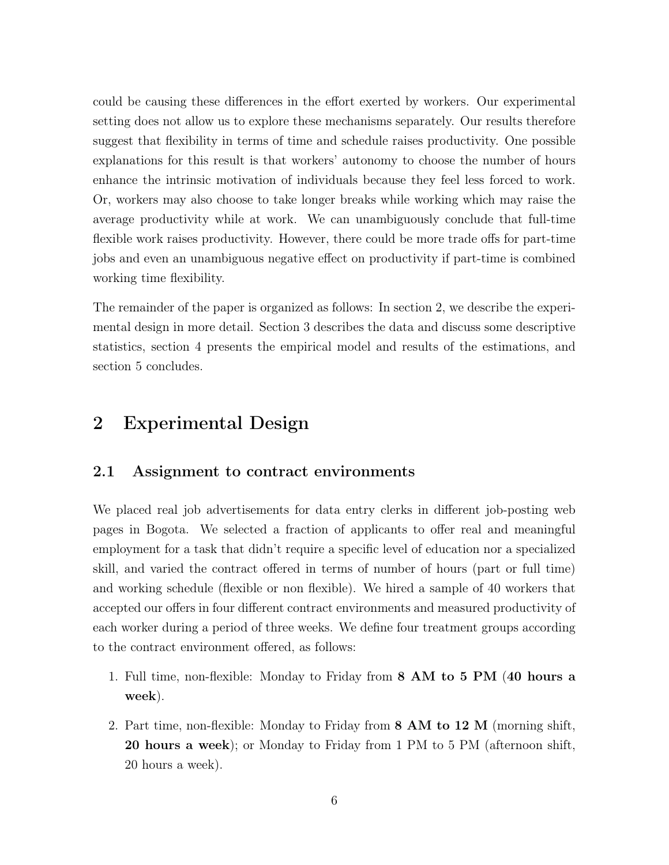could be causing these differences in the effort exerted by workers. Our experimental setting does not allow us to explore these mechanisms separately. Our results therefore suggest that flexibility in terms of time and schedule raises productivity. One possible explanations for this result is that workers' autonomy to choose the number of hours enhance the intrinsic motivation of individuals because they feel less forced to work. Or, workers may also choose to take longer breaks while working which may raise the average productivity while at work. We can unambiguously conclude that full-time flexible work raises productivity. However, there could be more trade offs for part-time jobs and even an unambiguous negative effect on productivity if part-time is combined working time flexibility.

The remainder of the paper is organized as follows: In section 2, we describe the experimental design in more detail. Section 3 describes the data and discuss some descriptive statistics, section 4 presents the empirical model and results of the estimations, and section 5 concludes.

#### 2 Experimental Design

#### 2.1 Assignment to contract environments

We placed real job advertisements for data entry clerks in different job-posting web pages in Bogota. We selected a fraction of applicants to offer real and meaningful employment for a task that didn't require a specific level of education nor a specialized skill, and varied the contract offered in terms of number of hours (part or full time) and working schedule (flexible or non flexible). We hired a sample of 40 workers that accepted our offers in four different contract environments and measured productivity of each worker during a period of three weeks. We define four treatment groups according to the contract environment offered, as follows:

- 1. Full time, non-flexible: Monday to Friday from 8 AM to 5 PM (40 hours a week).
- 2. Part time, non-flexible: Monday to Friday from 8 AM to 12 M (morning shift, 20 hours a week); or Monday to Friday from 1 PM to 5 PM (afternoon shift, 20 hours a week).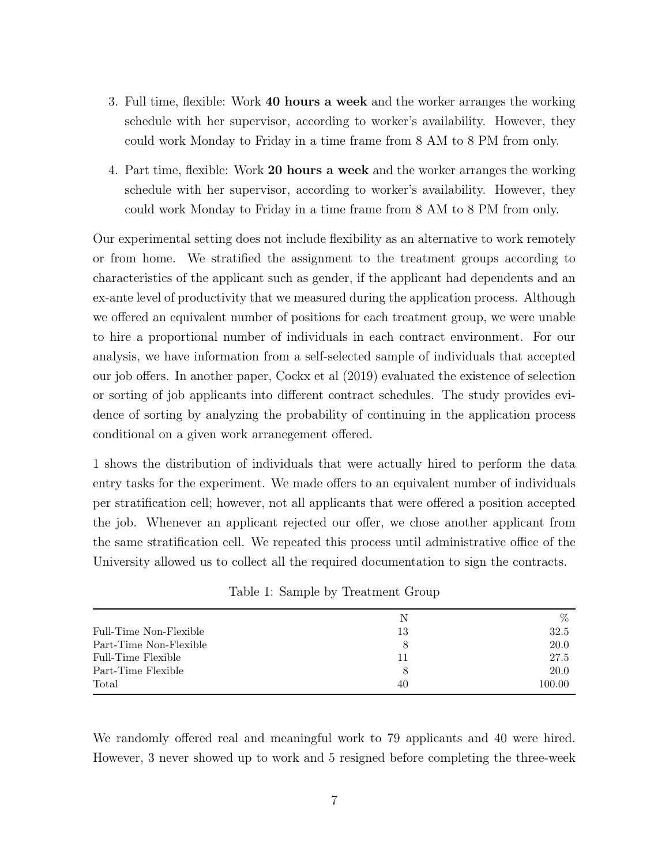- 3. Full time, flexible: Work 40 hours a week and the worker arranges the working schedule with her supervisor, according to worker's availability. However, they could work Monday to Friday in a time frame from 8 AM to 8 PM from only.
- 4. Part time, flexible: Work 20 hours a week and the worker arranges the working schedule with her supervisor, according to worker's availability. However, they could work Monday to Friday in a time frame from 8 AM to 8 PM from only.

Our experimental setting does not include flexibility as an alternative to work remotely or from home. We stratified the assignment to the treatment groups according to characteristics of the applicant such as gender, if the applicant had dependents and an ex-ante level of productivity that we measured during the application process. Although we offered an equivalent number of positions for each treatment group, we were unable to hire a proportional number of individuals in each contract environment. For our analysis, we have information from a self-selected sample of individuals that accepted our job offers. In another paper, Cockx et al (2019) evaluated the existence of selection or sorting of job applicants into different contract schedules. The study provides evidence of sorting by analyzing the probability of continuing in the application process conditional on a given work arranegement offered.

1 shows the distribution of individuals that were actually hired to perform the data entry tasks for the experiment. We made offers to an equivalent number of individuals per stratification cell; however, not all applicants that were offered a position accepted the job. Whenever an applicant rejected our offer, we chose another applicant from the same stratification cell. We repeated this process until administrative office of the University allowed us to collect all the required documentation to sign the contracts.

|                        | N  | $\%$   |
|------------------------|----|--------|
| Full-Time Non-Flexible | 13 | 32.5   |
| Part-Time Non-Flexible | 8  | 20.0   |
| Full-Time Flexible     | 11 | 27.5   |
| Part-Time Flexible     | 8  | 20.0   |
| Total                  | 40 | 100.00 |

Table 1: Sample by Treatment Group

We randomly offered real and meaningful work to 79 applicants and 40 were hired. However, 3 never showed up to work and 5 resigned before completing the three-week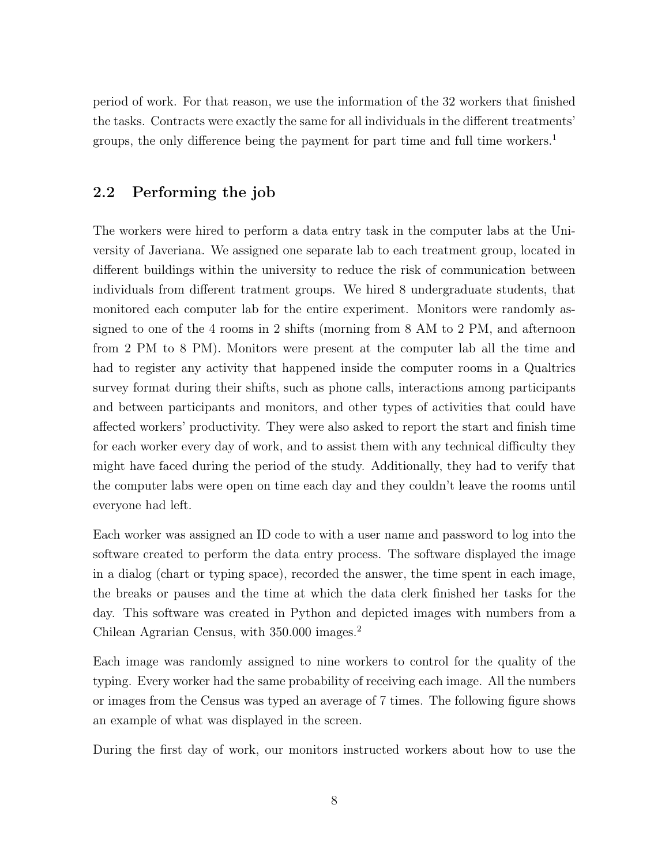period of work. For that reason, we use the information of the 32 workers that finished the tasks. Contracts were exactly the same for all individuals in the different treatments' groups, the only difference being the payment for part time and full time workers.<sup>1</sup>

#### 2.2 Performing the job

The workers were hired to perform a data entry task in the computer labs at the University of Javeriana. We assigned one separate lab to each treatment group, located in different buildings within the university to reduce the risk of communication between individuals from different tratment groups. We hired 8 undergraduate students, that monitored each computer lab for the entire experiment. Monitors were randomly assigned to one of the 4 rooms in 2 shifts (morning from 8 AM to 2 PM, and afternoon from 2 PM to 8 PM). Monitors were present at the computer lab all the time and had to register any activity that happened inside the computer rooms in a Qualtrics survey format during their shifts, such as phone calls, interactions among participants and between participants and monitors, and other types of activities that could have affected workers' productivity. They were also asked to report the start and finish time for each worker every day of work, and to assist them with any technical difficulty they might have faced during the period of the study. Additionally, they had to verify that the computer labs were open on time each day and they couldn't leave the rooms until everyone had left.

Each worker was assigned an ID code to with a user name and password to log into the software created to perform the data entry process. The software displayed the image in a dialog (chart or typing space), recorded the answer, the time spent in each image, the breaks or pauses and the time at which the data clerk finished her tasks for the day. This software was created in Python and depicted images with numbers from a Chilean Agrarian Census, with 350.000 images.<sup>2</sup>

Each image was randomly assigned to nine workers to control for the quality of the typing. Every worker had the same probability of receiving each image. All the numbers or images from the Census was typed an average of 7 times. The following figure shows an example of what was displayed in the screen.

During the first day of work, our monitors instructed workers about how to use the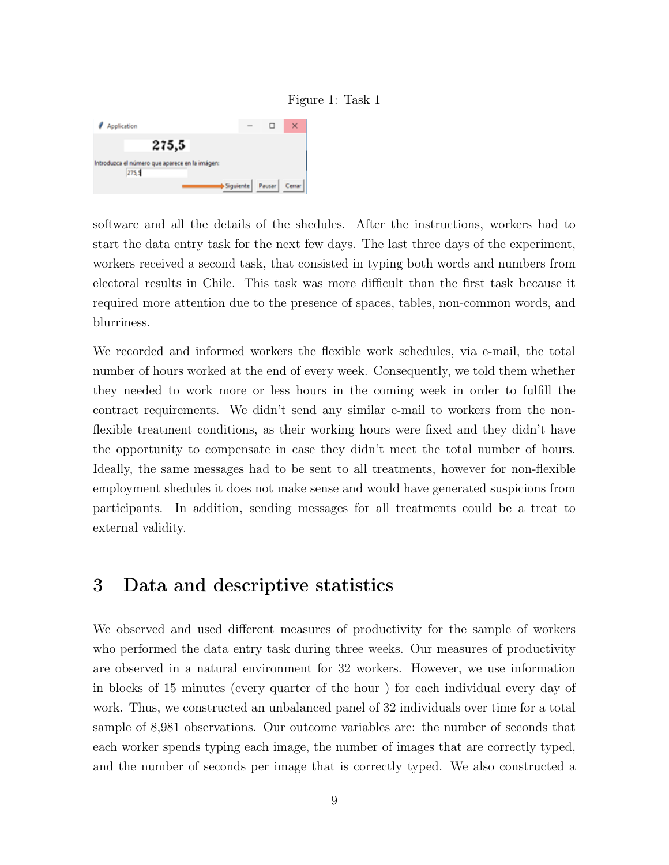



software and all the details of the shedules. After the instructions, workers had to start the data entry task for the next few days. The last three days of the experiment, workers received a second task, that consisted in typing both words and numbers from electoral results in Chile. This task was more difficult than the first task because it required more attention due to the presence of spaces, tables, non-common words, and blurriness.

We recorded and informed workers the flexible work schedules, via e-mail, the total number of hours worked at the end of every week. Consequently, we told them whether they needed to work more or less hours in the coming week in order to fulfill the contract requirements. We didn't send any similar e-mail to workers from the nonflexible treatment conditions, as their working hours were fixed and they didn't have the opportunity to compensate in case they didn't meet the total number of hours. Ideally, the same messages had to be sent to all treatments, however for non-flexible employment shedules it does not make sense and would have generated suspicions from participants. In addition, sending messages for all treatments could be a treat to external validity.

### 3 Data and descriptive statistics

We observed and used different measures of productivity for the sample of workers who performed the data entry task during three weeks. Our measures of productivity are observed in a natural environment for 32 workers. However, we use information in blocks of 15 minutes (every quarter of the hour ) for each individual every day of work. Thus, we constructed an unbalanced panel of 32 individuals over time for a total sample of 8,981 observations. Our outcome variables are: the number of seconds that each worker spends typing each image, the number of images that are correctly typed, and the number of seconds per image that is correctly typed. We also constructed a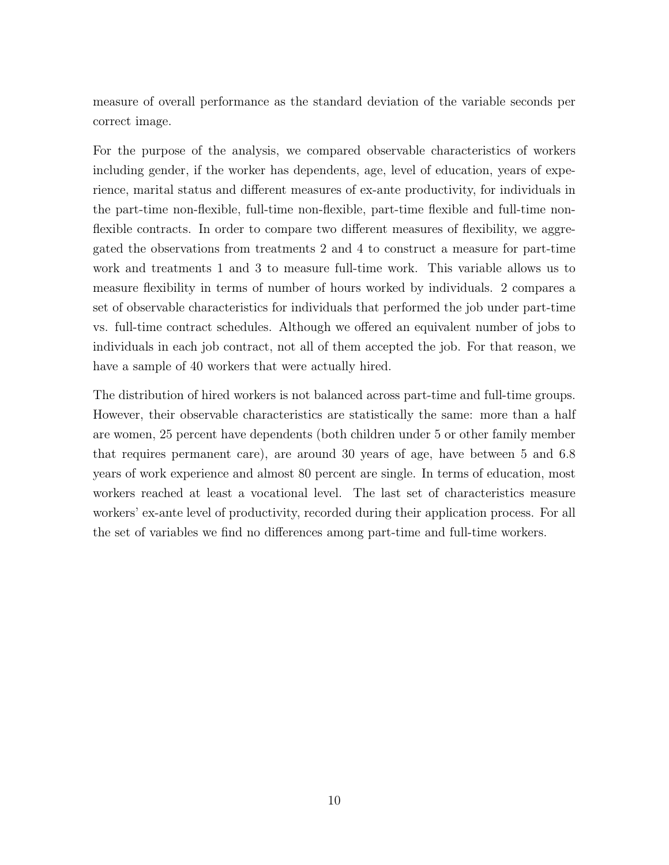measure of overall performance as the standard deviation of the variable seconds per correct image.

For the purpose of the analysis, we compared observable characteristics of workers including gender, if the worker has dependents, age, level of education, years of experience, marital status and different measures of ex-ante productivity, for individuals in the part-time non-flexible, full-time non-flexible, part-time flexible and full-time nonflexible contracts. In order to compare two different measures of flexibility, we aggregated the observations from treatments 2 and 4 to construct a measure for part-time work and treatments 1 and 3 to measure full-time work. This variable allows us to measure flexibility in terms of number of hours worked by individuals. 2 compares a set of observable characteristics for individuals that performed the job under part-time vs. full-time contract schedules. Although we offered an equivalent number of jobs to individuals in each job contract, not all of them accepted the job. For that reason, we have a sample of 40 workers that were actually hired.

The distribution of hired workers is not balanced across part-time and full-time groups. However, their observable characteristics are statistically the same: more than a half are women, 25 percent have dependents (both children under 5 or other family member that requires permanent care), are around 30 years of age, have between 5 and 6.8 years of work experience and almost 80 percent are single. In terms of education, most workers reached at least a vocational level. The last set of characteristics measure workers' ex-ante level of productivity, recorded during their application process. For all the set of variables we find no differences among part-time and full-time workers.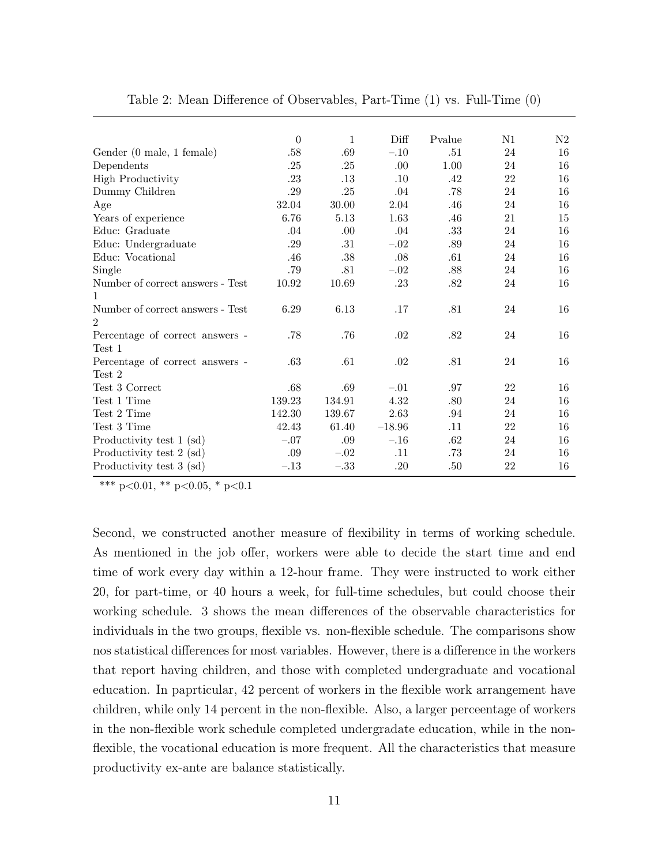|                                  | $\boldsymbol{0}$ | $\mathbf{1}$ | Diff     | Pvalue | N1 | N2 |
|----------------------------------|------------------|--------------|----------|--------|----|----|
| Gender (0 male, 1 female)        | .58              | .69          | $-.10$   | .51    | 24 | 16 |
| Dependents                       | .25              | .25          | .00      | 1.00   | 24 | 16 |
| <b>High Productivity</b>         | .23              | .13          | .10      | .42    | 22 | 16 |
| Dummy Children                   | .29              | .25          | .04      | .78    | 24 | 16 |
| Age                              | 32.04            | 30.00        | 2.04     | .46    | 24 | 16 |
| Years of experience              | 6.76             | 5.13         | 1.63     | .46    | 21 | 15 |
| Educ: Graduate                   | .04              | .00          | .04      | .33    | 24 | 16 |
| Educ: Undergraduate              | .29              | .31          | $-.02$   | .89    | 24 | 16 |
| Educ: Vocational                 | .46              | $.38\,$      | .08      | .61    | 24 | 16 |
| Single                           | .79              | .81          | $-.02$   | .88    | 24 | 16 |
| Number of correct answers - Test | 10.92            | 10.69        | .23      | .82    | 24 | 16 |
| $\mathbf{1}$                     |                  |              |          |        |    |    |
| Number of correct answers - Test | 6.29             | 6.13         | .17      | .81    | 24 | 16 |
| $\overline{2}$                   |                  |              |          |        |    |    |
| Percentage of correct answers -  | .78              | .76          | .02      | .82    | 24 | 16 |
| Test 1                           |                  |              |          |        |    |    |
| Percentage of correct answers -  | .63              | .61          | .02      | .81    | 24 | 16 |
| Test 2                           |                  |              |          |        |    |    |
| Test 3 Correct                   | .68              | .69          | $-.01$   | .97    | 22 | 16 |
| Test 1 Time                      | 139.23           | 134.91       | 4.32     | .80    | 24 | 16 |
| Test 2 Time                      | 142.30           | 139.67       | 2.63     | .94    | 24 | 16 |
| Test 3 Time                      | 42.43            | 61.40        | $-18.96$ | .11    | 22 | 16 |
| Productivity test 1 (sd)         | $-.07$           | .09          | $-.16$   | .62    | 24 | 16 |
| Productivity test 2 (sd)         | .09              | $-.02$       | .11      | .73    | 24 | 16 |
| Productivity test 3 (sd)         | $-.13$           | $-.33$       | .20      | .50    | 22 | 16 |

| Table 2: Mean Difference of Observables, Part-Time $(1)$ vs. Full-Time $(0)$ |  |  |  |  |  |
|------------------------------------------------------------------------------|--|--|--|--|--|
|------------------------------------------------------------------------------|--|--|--|--|--|

Second, we constructed another measure of flexibility in terms of working schedule. As mentioned in the job offer, workers were able to decide the start time and end time of work every day within a 12-hour frame. They were instructed to work either 20, for part-time, or 40 hours a week, for full-time schedules, but could choose their working schedule. 3 shows the mean differences of the observable characteristics for individuals in the two groups, flexible vs. non-flexible schedule. The comparisons show nos statistical differences for most variables. However, there is a difference in the workers that report having children, and those with completed undergraduate and vocational education. In paprticular, 42 percent of workers in the flexible work arrangement have children, while only 14 percent in the non-flexible. Also, a larger perceentage of workers in the non-flexible work schedule completed undergradate education, while in the nonflexible, the vocational education is more frequent. All the characteristics that measure productivity ex-ante are balance statistically.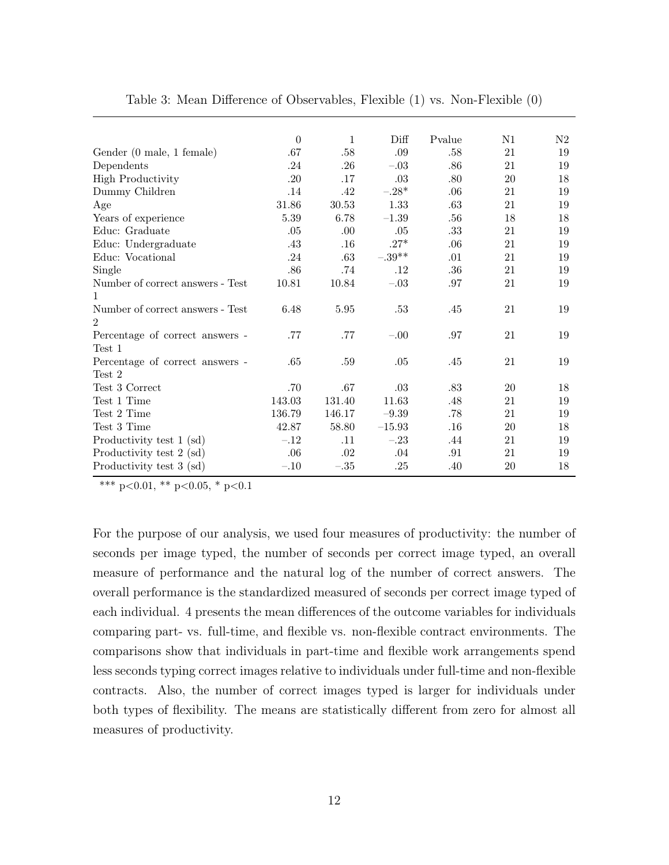|                                  | $\boldsymbol{0}$ | $1\,$   | Diff     | Pvalue  | N1 | N2 |
|----------------------------------|------------------|---------|----------|---------|----|----|
| Gender (0 male, 1 female)        | .67              | $.58\,$ | .09      | .58     | 21 | 19 |
| Dependents                       | .24              | .26     | $-.03$   | .86     | 21 | 19 |
| <b>High Productivity</b>         | .20              | .17     | .03      | .80     | 20 | 18 |
| Dummy Children                   | .14              | .42     | $-.28*$  | .06     | 21 | 19 |
| Age                              | 31.86            | 30.53   | 1.33     | $.63\,$ | 21 | 19 |
| Years of experience              | 5.39             | 6.78    | $-1.39$  | .56     | 18 | 18 |
| Educ: Graduate                   | .05              | .00     | .05      | $.33\,$ | 21 | 19 |
| Educ: Undergraduate              | .43              | .16     | $.27*$   | .06     | 21 | 19 |
| Educ: Vocational                 | .24              | $.63\,$ | $-.39**$ | .01     | 21 | 19 |
| Single                           | $.86$            | .74     | .12      | .36     | 21 | 19 |
| Number of correct answers - Test | 10.81            | 10.84   | $-.03$   | .97     | 21 | 19 |
| $\mathbf{1}$                     |                  |         |          |         |    |    |
| Number of correct answers - Test | 6.48             | 5.95    | .53      | .45     | 21 | 19 |
| $\overline{2}$                   |                  |         |          |         |    |    |
| Percentage of correct answers -  | .77              | .77     | $-.00$   | .97     | 21 | 19 |
| Test 1                           |                  |         |          |         |    |    |
| Percentage of correct answers -  | .65              | .59     | .05      | .45     | 21 | 19 |
| Test 2                           |                  |         |          |         |    |    |
| Test 3 Correct                   | .70              | .67     | .03      | .83     | 20 | 18 |
| Test 1 Time                      | 143.03           | 131.40  | 11.63    | .48     | 21 | 19 |
| Test 2 Time                      | 136.79           | 146.17  | $-9.39$  | .78     | 21 | 19 |
| Test 3 Time                      | 42.87            | 58.80   | $-15.93$ | .16     | 20 | 18 |
| Productivity test 1 (sd)         | $-.12$           | .11     | $-.23$   | .44     | 21 | 19 |
| Productivity test 2 (sd)         | .06              | .02     | .04      | .91     | 21 | 19 |
| Productivity test 3 (sd)         | $-.10$           | $-.35$  | .25      | .40     | 20 | 18 |

| Table 3: Mean Difference of Observables, Flexible (1) vs. Non-Flexible (0) |  |  |  |  |
|----------------------------------------------------------------------------|--|--|--|--|
|----------------------------------------------------------------------------|--|--|--|--|

For the purpose of our analysis, we used four measures of productivity: the number of seconds per image typed, the number of seconds per correct image typed, an overall measure of performance and the natural log of the number of correct answers. The overall performance is the standardized measured of seconds per correct image typed of each individual. 4 presents the mean differences of the outcome variables for individuals comparing part- vs. full-time, and flexible vs. non-flexible contract environments. The comparisons show that individuals in part-time and flexible work arrangements spend less seconds typing correct images relative to individuals under full-time and non-flexible contracts. Also, the number of correct images typed is larger for individuals under both types of flexibility. The means are statistically different from zero for almost all measures of productivity.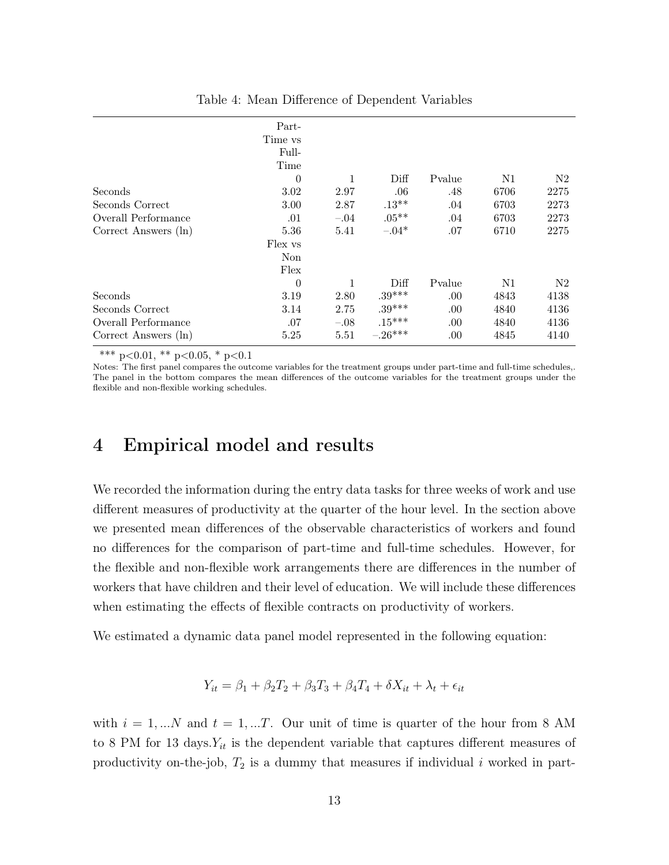|                      | Part-<br>Time vs |        |           |        |      |      |
|----------------------|------------------|--------|-----------|--------|------|------|
|                      | Full-<br>Time    |        |           |        |      |      |
|                      | $\theta$         | 1      | Diff      | Pvalue | N1   | N2   |
| Seconds              | 3.02             | 2.97   | .06       | .48    | 6706 | 2275 |
| Seconds Correct      | 3.00             | 2.87   | $.13**$   | .04    | 6703 | 2273 |
| Overall Performance  | .01              | $-.04$ | $.05***$  | .04    | 6703 | 2273 |
| Correct Answers (ln) | 5.36             | 5.41   | $-.04*$   | .07    | 6710 | 2275 |
|                      | Flex vs          |        |           |        |      |      |
|                      | Non              |        |           |        |      |      |
|                      | Flex             |        |           |        |      |      |
|                      | $\theta$         | 1      | Diff      | Pvalue | N1   | N2   |
| Seconds              | 3.19             | 2.80   | $.39***$  | .00.   | 4843 | 4138 |
| Seconds Correct      | 3.14             | 2.75   | $.39***$  | .00.   | 4840 | 4136 |
| Overall Performance  | .07              | $-.08$ | $.15***$  | .00.   | 4840 | 4136 |
| Correct Answers (ln) | 5.25             | 5.51   | $-.26***$ | .00.   | 4845 | 4140 |

Table 4: Mean Difference of Dependent Variables

Notes: The first panel compares the outcome variables for the treatment groups under part-time and full-time schedules,. The panel in the bottom compares the mean differences of the outcome variables for the treatment groups under the flexible and non-flexible working schedules.

#### 4 Empirical model and results

We recorded the information during the entry data tasks for three weeks of work and use different measures of productivity at the quarter of the hour level. In the section above we presented mean differences of the observable characteristics of workers and found no differences for the comparison of part-time and full-time schedules. However, for the flexible and non-flexible work arrangements there are differences in the number of workers that have children and their level of education. We will include these differences when estimating the effects of flexible contracts on productivity of workers.

We estimated a dynamic data panel model represented in the following equation:

$$
Y_{it} = \beta_1 + \beta_2 T_2 + \beta_3 T_3 + \beta_4 T_4 + \delta X_{it} + \lambda_t + \epsilon_{it}
$$

with  $i = 1,...N$  and  $t = 1,...T$ . Our unit of time is quarter of the hour from 8 AM to 8 PM for 13 days. $Y_{it}$  is the dependent variable that captures different measures of productivity on-the-job,  $T_2$  is a dummy that measures if individual i worked in part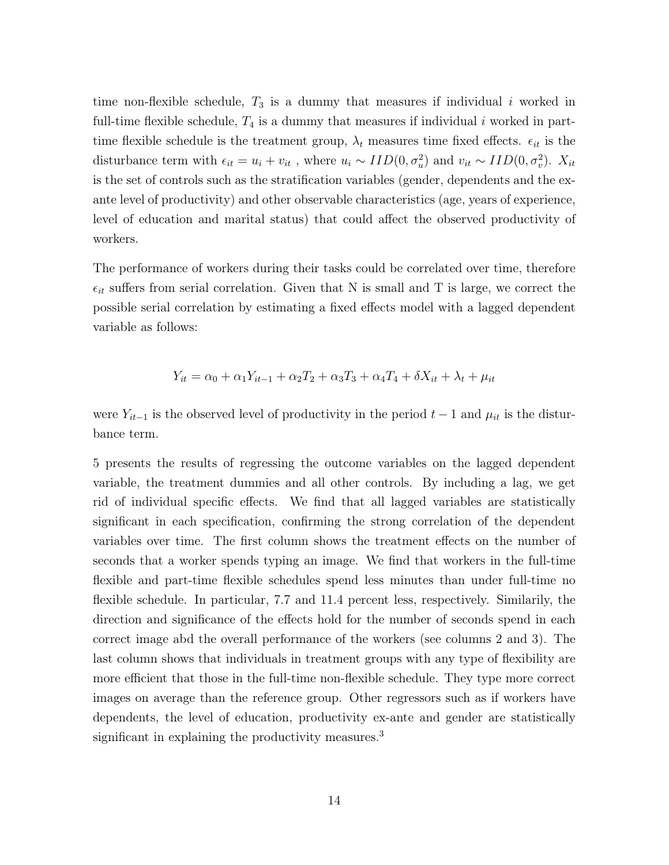time non-flexible schedule,  $T_3$  is a dummy that measures if individual i worked in full-time flexible schedule,  $T_4$  is a dummy that measures if individual i worked in parttime flexible schedule is the treatment group,  $\lambda_t$  measures time fixed effects.  $\epsilon_{it}$  is the disturbance term with  $\epsilon_{it} = u_i + v_{it}$ , where  $u_i \sim IID(0, \sigma_u^2)$  and  $v_{it} \sim IID(0, \sigma_v^2)$ .  $X_{it}$ is the set of controls such as the stratification variables (gender, dependents and the exante level of productivity) and other observable characteristics (age, years of experience, level of education and marital status) that could affect the observed productivity of workers.

The performance of workers during their tasks could be correlated over time, therefore  $\epsilon_{it}$  suffers from serial correlation. Given that N is small and T is large, we correct the possible serial correlation by estimating a fixed effects model with a lagged dependent variable as follows:

$$
Y_{it} = \alpha_0 + \alpha_1 Y_{it-1} + \alpha_2 T_2 + \alpha_3 T_3 + \alpha_4 T_4 + \delta X_{it} + \lambda_t + \mu_{it}
$$

were  $Y_{it-1}$  is the observed level of productivity in the period  $t-1$  and  $\mu_{it}$  is the disturbance term.

5 presents the results of regressing the outcome variables on the lagged dependent variable, the treatment dummies and all other controls. By including a lag, we get rid of individual specific effects. We find that all lagged variables are statistically significant in each specification, confirming the strong correlation of the dependent variables over time. The first column shows the treatment effects on the number of seconds that a worker spends typing an image. We find that workers in the full-time flexible and part-time flexible schedules spend less minutes than under full-time no flexible schedule. In particular, 7.7 and 11.4 percent less, respectively. Similarily, the direction and significance of the effects hold for the number of seconds spend in each correct image abd the overall performance of the workers (see columns 2 and 3). The last column shows that individuals in treatment groups with any type of flexibility are more efficient that those in the full-time non-flexible schedule. They type more correct images on average than the reference group. Other regressors such as if workers have dependents, the level of education, productivity ex-ante and gender are statistically significant in explaining the productivity measures.<sup>3</sup>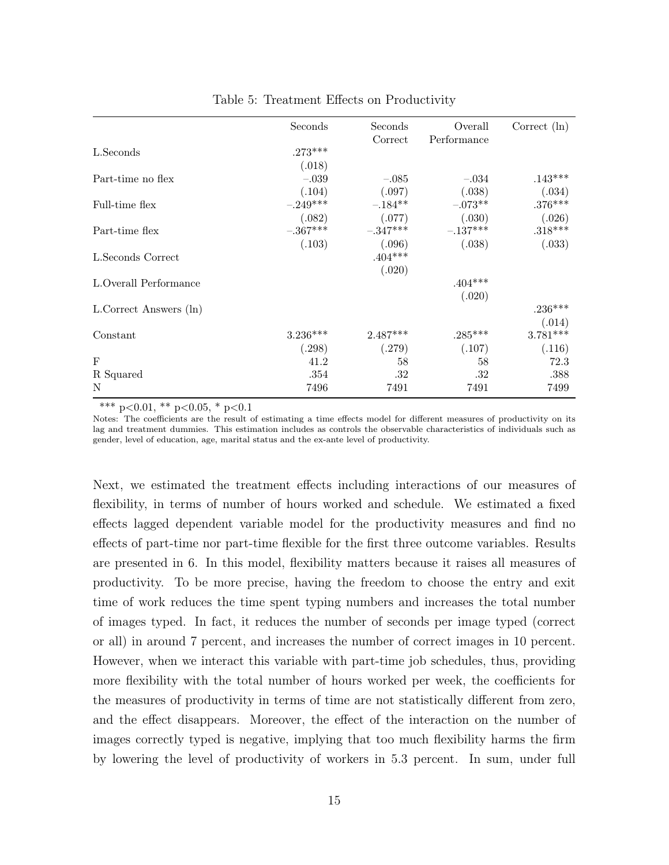|                        | Seconds    | Seconds             | Overall             | Correct $(\ln)$ |
|------------------------|------------|---------------------|---------------------|-----------------|
| L.Seconds              | $.273***$  | Correct             | Performance         |                 |
|                        | (.018)     |                     |                     |                 |
| Part-time no flex      | $-.039$    | $-.085$             | $-.034$             | $.143***$       |
|                        | (.104)     | (.097)              | (.038)              | (.034)          |
| Full-time flex         | $-.249***$ | $-.184**$           | $-.073**$           | $.376***$       |
|                        | (.082)     | (.077)              | (.030)              | (.026)          |
| Part-time flex         | $-.367***$ | $-.347***$          | $-.137***$          | $.318***$       |
| L.Seconds Correct      | (.103)     | (.096)<br>$.404***$ | (.038)              | (.033)          |
|                        |            | (.020)              |                     |                 |
| L.Overall Performance  |            |                     | $.404***$<br>(.020) |                 |
| L.Correct Answers (ln) |            |                     |                     | $.236***$       |
|                        |            |                     |                     | (.014)          |
| Constant               | $3.236***$ | $2.487***$          | $.285***$           | $3.781***$      |
|                        | (.298)     | (.279)              | (.107)              | (.116)          |
| $_{\rm F}$             | 41.2       | 58                  | 58                  | 72.3            |
| R Squared              | .354       | .32                 | .32                 | .388            |
| N                      | 7496       | 7491                | 7491                | 7499            |

Table 5: Treatment Effects on Productivity

Notes: The coefficients are the result of estimating a time effects model for different measures of productivity on its lag and treatment dummies. This estimation includes as controls the observable characteristics of individuals such as gender, level of education, age, marital status and the ex-ante level of productivity.

Next, we estimated the treatment effects including interactions of our measures of flexibility, in terms of number of hours worked and schedule. We estimated a fixed effects lagged dependent variable model for the productivity measures and find no effects of part-time nor part-time flexible for the first three outcome variables. Results are presented in 6. In this model, flexibility matters because it raises all measures of productivity. To be more precise, having the freedom to choose the entry and exit time of work reduces the time spent typing numbers and increases the total number of images typed. In fact, it reduces the number of seconds per image typed (correct or all) in around 7 percent, and increases the number of correct images in 10 percent. However, when we interact this variable with part-time job schedules, thus, providing more flexibility with the total number of hours worked per week, the coefficients for the measures of productivity in terms of time are not statistically different from zero, and the effect disappears. Moreover, the effect of the interaction on the number of images correctly typed is negative, implying that too much flexibility harms the firm by lowering the level of productivity of workers in 5.3 percent. In sum, under full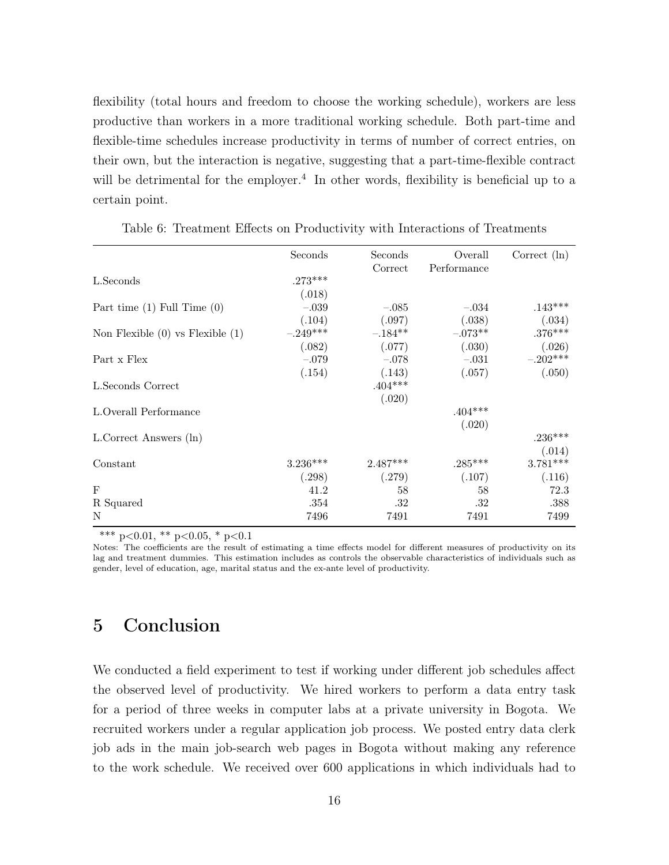flexibility (total hours and freedom to choose the working schedule), workers are less productive than workers in a more traditional working schedule. Both part-time and flexible-time schedules increase productivity in terms of number of correct entries, on their own, but the interaction is negative, suggesting that a part-time-flexible contract will be detrimental for the employer.<sup>4</sup> In other words, flexibility is beneficial up to a certain point.

|                                      | Seconds    | Seconds             | Overall     | Correct $(\ln)$ |
|--------------------------------------|------------|---------------------|-------------|-----------------|
| L.Seconds                            | $.273***$  | Correct             | Performance |                 |
|                                      | (.018)     |                     |             |                 |
| Part time $(1)$ Full Time $(0)$      | $-.039$    | $-.085$             | $-.034$     | $.143***$       |
|                                      | (.104)     | (.097)              | (.038)      | (.034)          |
| Non Flexible $(0)$ vs Flexible $(1)$ | $-.249***$ | $-.184**$           | $-.073**$   | $.376***$       |
|                                      | (.082)     | (.077)              | (.030)      | (.026)          |
| Part x Flex                          | $-.079$    | $-.078$             | $-.031$     | $-.202***$      |
| L.Seconds Correct                    | (.154)     | (.143)<br>$.404***$ | (.057)      | (.050)          |
|                                      |            | (.020)              |             |                 |
| L.Overall Performance                |            |                     | $.404***$   |                 |
|                                      |            |                     | (.020)      |                 |
| L.Correct Answers (ln)               |            |                     |             | $.236***$       |
|                                      |            |                     |             | (.014)          |
| Constant                             | $3.236***$ | $2.487***$          | $.285***$   | $3.781***$      |
|                                      | (.298)     | (.279)              | (.107)      | (.116)          |
| $\mathbf{F}$                         | 41.2       | 58                  | 58          | 72.3            |
| R Squared                            | .354       | .32                 | .32         | .388            |
| N                                    | 7496       | 7491                | 7491        | 7499            |

Table 6: Treatment Effects on Productivity with Interactions of Treatments

\*\*\* p<0.01, \*\* p<0.05, \* p<0.1

Notes: The coefficients are the result of estimating a time effects model for different measures of productivity on its lag and treatment dummies. This estimation includes as controls the observable characteristics of individuals such as gender, level of education, age, marital status and the ex-ante level of productivity.

### 5 Conclusion

We conducted a field experiment to test if working under different job schedules affect the observed level of productivity. We hired workers to perform a data entry task for a period of three weeks in computer labs at a private university in Bogota. We recruited workers under a regular application job process. We posted entry data clerk job ads in the main job-search web pages in Bogota without making any reference to the work schedule. We received over 600 applications in which individuals had to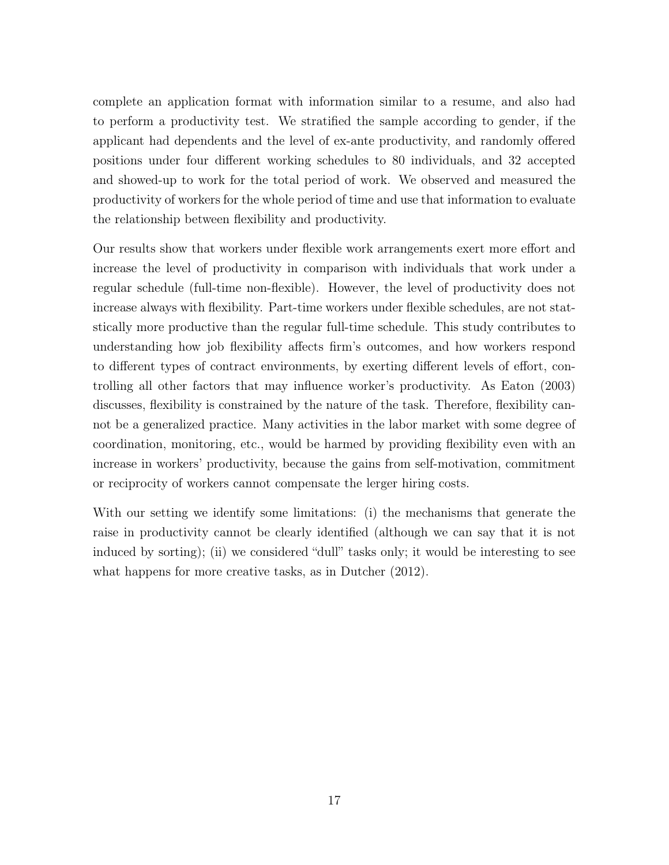complete an application format with information similar to a resume, and also had to perform a productivity test. We stratified the sample according to gender, if the applicant had dependents and the level of ex-ante productivity, and randomly offered positions under four different working schedules to 80 individuals, and 32 accepted and showed-up to work for the total period of work. We observed and measured the productivity of workers for the whole period of time and use that information to evaluate the relationship between flexibility and productivity.

Our results show that workers under flexible work arrangements exert more effort and increase the level of productivity in comparison with individuals that work under a regular schedule (full-time non-flexible). However, the level of productivity does not increase always with flexibility. Part-time workers under flexible schedules, are not statstically more productive than the regular full-time schedule. This study contributes to understanding how job flexibility affects firm's outcomes, and how workers respond to different types of contract environments, by exerting different levels of effort, controlling all other factors that may influence worker's productivity. As Eaton (2003) discusses, flexibility is constrained by the nature of the task. Therefore, flexibility cannot be a generalized practice. Many activities in the labor market with some degree of coordination, monitoring, etc., would be harmed by providing flexibility even with an increase in workers' productivity, because the gains from self-motivation, commitment or reciprocity of workers cannot compensate the lerger hiring costs.

With our setting we identify some limitations: (i) the mechanisms that generate the raise in productivity cannot be clearly identified (although we can say that it is not induced by sorting); (ii) we considered "dull" tasks only; it would be interesting to see what happens for more creative tasks, as in Dutcher (2012).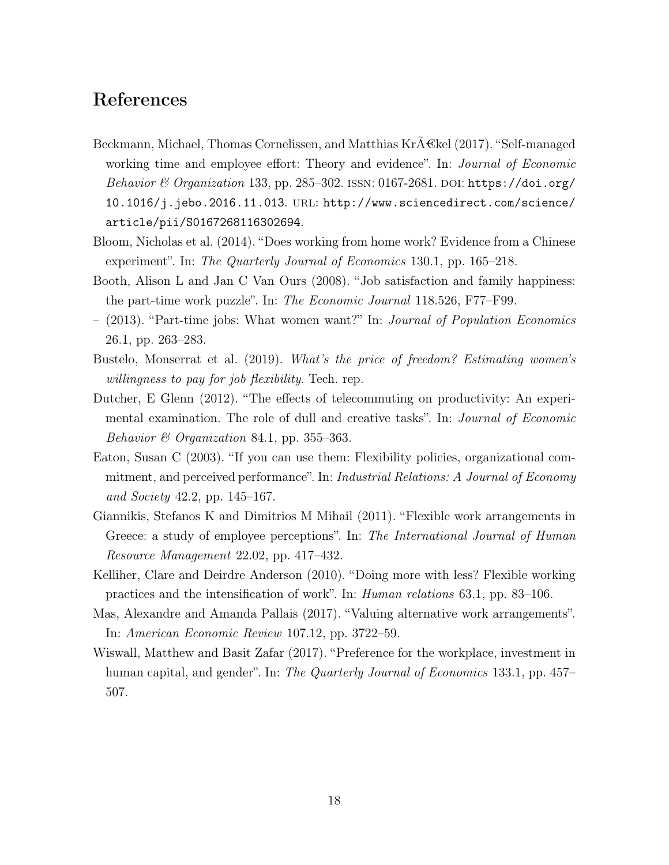#### References

- Beckmann, Michael, Thomas Cornelissen, and Matthias Kr $A \in \mathbb{R}$ el (2017). "Self-managed working time and employee effort: Theory and evidence". In: *Journal of Economic* Behavior & Organization 133, pp. 285–302. ISSN: 0167-2681. DOI: https://doi.org/ 10.1016/j.jebo.2016.11.013. url: http://www.sciencedirect.com/science/ article/pii/S0167268116302694.
- Bloom, Nicholas et al. (2014). "Does working from home work? Evidence from a Chinese experiment". In: The Quarterly Journal of Economics 130.1, pp. 165–218.
- Booth, Alison L and Jan C Van Ours (2008). "Job satisfaction and family happiness: the part-time work puzzle". In: The Economic Journal 118.526, F77–F99.
- (2013). "Part-time jobs: What women want?" In: Journal of Population Economics 26.1, pp. 263–283.
- Bustelo, Monserrat et al. (2019). What's the price of freedom? Estimating women's willingness to pay for job flexibility. Tech. rep.
- Dutcher, E Glenn (2012). "The effects of telecommuting on productivity: An experimental examination. The role of dull and creative tasks". In: Journal of Economic Behavior & Organization 84.1, pp. 355–363.
- Eaton, Susan C (2003). "If you can use them: Flexibility policies, organizational commitment, and perceived performance". In: Industrial Relations: A Journal of Economy and Society 42.2, pp. 145–167.
- Giannikis, Stefanos K and Dimitrios M Mihail (2011). "Flexible work arrangements in Greece: a study of employee perceptions". In: The International Journal of Human Resource Management 22.02, pp. 417–432.
- Kelliher, Clare and Deirdre Anderson (2010). "Doing more with less? Flexible working practices and the intensification of work". In: Human relations 63.1, pp. 83–106.
- Mas, Alexandre and Amanda Pallais (2017). "Valuing alternative work arrangements". In: American Economic Review 107.12, pp. 3722–59.
- Wiswall, Matthew and Basit Zafar (2017). "Preference for the workplace, investment in human capital, and gender". In: The Quarterly Journal of Economics 133.1, pp. 457– 507.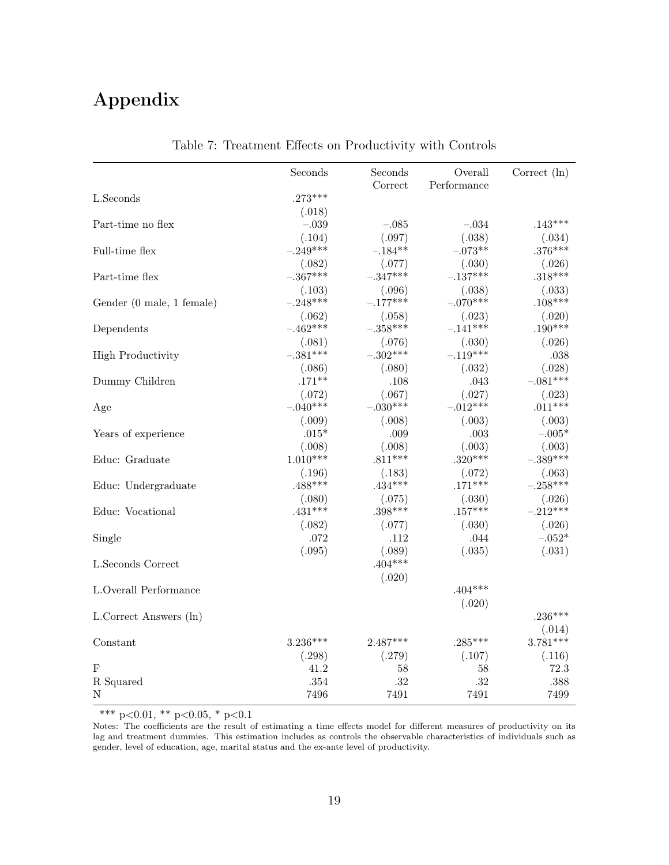## Appendix

|                           | Seconds    | Seconds    | Overall     | Correct $(\ln)$ |
|---------------------------|------------|------------|-------------|-----------------|
|                           |            | Correct    | Performance |                 |
| L.Seconds                 | $.273***$  |            |             |                 |
|                           | (.018)     |            |             |                 |
| Part-time no flex         | $-.039$    | $-.085$    | $-.034$     | $.143***$       |
|                           | (.104)     | (.097)     | (.038)      | (.034)          |
| Full-time flex            | $-.249***$ | $-.184**$  | $-.073**$   | $.376***$       |
|                           | (.082)     | (.077)     | (.030)      | (.026)          |
| Part-time flex            | $-.367***$ | $-.347***$ | $-.137***$  | $.318***$       |
|                           | (.103)     | (.096)     | (.038)      | (.033)          |
| Gender (0 male, 1 female) | $-.248***$ | $-.177***$ | $-.070***$  | $.108***$       |
|                           | (.062)     | (.058)     | (.023)      | (.020)          |
| Dependents                | $-.462***$ | $-.358***$ | $-.141***$  | $.190***$       |
|                           | (.081)     | (.076)     | (.030)      | (.026)          |
| <b>High Productivity</b>  | $-.381***$ | $-.302***$ | $-.119***$  | .038            |
|                           | (.086)     | (.080)     | (.032)      | (.028)          |
| Dummy Children            | $.171**$   | .108       | .043        | $-.081***$      |
|                           | (.072)     | (.067)     | (.027)      | (.023)          |
| Age                       | $-.040***$ | $-.030***$ | $-.012***$  | $.011***$       |
|                           | (.009)     | (.008)     | (.003)      | (.003)          |
| Years of experience       | $.015*$    | .009       | .003        | $-.005*$        |
|                           | (.008)     | (.008)     | (.003)      | (.003)          |
| Educ: Graduate            | $1.010***$ | $.811***$  | $.320***$   | $-.389***$      |
|                           | (.196)     | (.183)     | (.072)      | (.063)          |
| Educ: Undergraduate       | $.488***$  | $.434***$  | $.171***$   | $-.258***$      |
|                           | (.080)     | (.075)     | (.030)      | (.026)          |
| Educ: Vocational          | $.431***$  | $.398***$  | $.157***$   | $-.212***$      |
|                           | (.082)     | (.077)     | (.030)      | (.026)          |
| Single                    | .072       | .112       | .044        | $-.052*$        |
|                           | (.095)     | (.089)     | (.035)      | (.031)          |
| L.Seconds Correct         |            | $.404***$  |             |                 |
|                           |            | (.020)     |             |                 |
| L.Overall Performance     |            |            | $.404***$   |                 |
|                           |            |            | (.020)      |                 |
| L.Correct Answers (ln)    |            |            |             | $.236***$       |
|                           |            |            |             | (.014)          |
| Constant                  | $3.236***$ | $2.487***$ | $.285***$   | $3.781***$      |
|                           | (.298)     | (.279)     | (.107)      | (.116)          |
| $\mathbf F$               | 41.2       | 58         | 58          | 72.3            |
| ${\bf R}$ Squared         | .354       | .32        | .32         | .388            |
| N                         | 7496       | 7491       | 7491        | 7499            |

Table 7: Treatment Effects on Productivity with Controls

\*\*\* p<0.01, \*\* p<0.05, \* p<0.1

Notes: The coefficients are the result of estimating a time effects model for different measures of productivity on its lag and treatment dummies. This estimation includes as controls the observable characteristics of individuals such as gender, level of education, age, marital status and the ex-ante level of productivity.